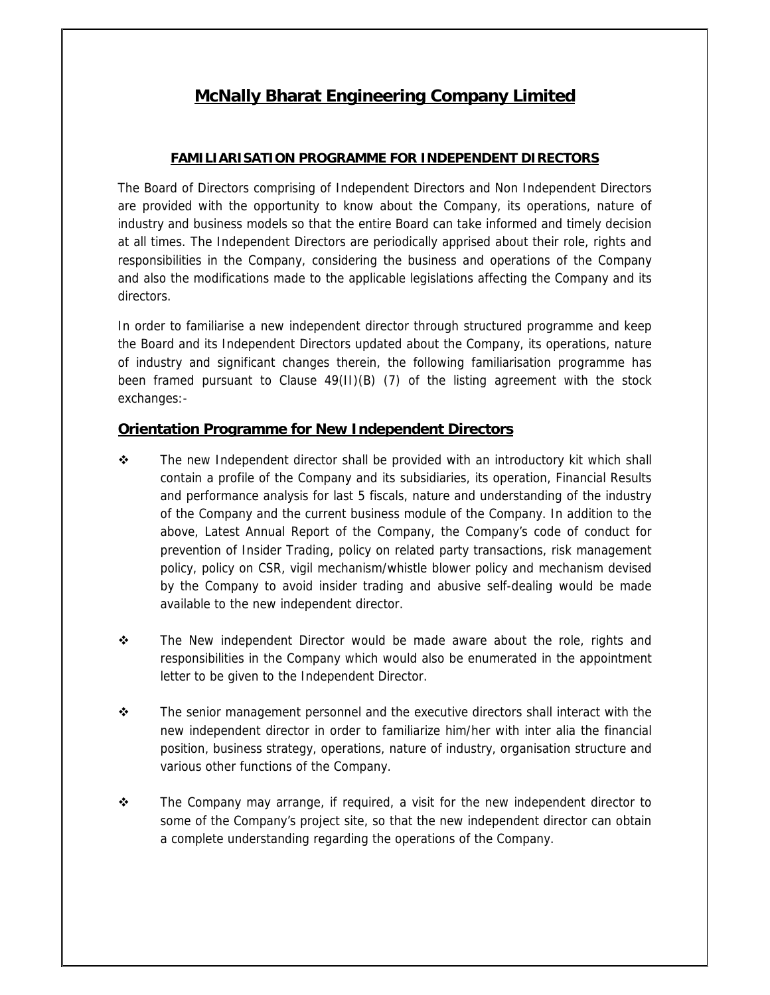# **McNally Bharat Engineering Company Limited**

### **FAMILIARISATION PROGRAMME FOR INDEPENDENT DIRECTORS**

The Board of Directors comprising of Independent Directors and Non Independent Directors are provided with the opportunity to know about the Company, its operations, nature of industry and business models so that the entire Board can take informed and timely decision at all times. The Independent Directors are periodically apprised about their role, rights and responsibilities in the Company, considering the business and operations of the Company and also the modifications made to the applicable legislations affecting the Company and its directors.

In order to familiarise a new independent director through structured programme and keep the Board and its Independent Directors updated about the Company, its operations, nature of industry and significant changes therein, the following familiarisation programme has been framed pursuant to Clause 49(II)(B) (7) of the listing agreement with the stock exchanges:-

### **Orientation Programme for New Independent Directors**

- $\div$  The new Independent director shall be provided with an introductory kit which shall contain a profile of the Company and its subsidiaries, its operation, Financial Results and performance analysis for last 5 fiscals, nature and understanding of the industry of the Company and the current business module of the Company. In addition to the above, Latest Annual Report of the Company, the Company's code of conduct for prevention of Insider Trading, policy on related party transactions, risk management policy, policy on CSR, vigil mechanism/whistle blower policy and mechanism devised by the Company to avoid insider trading and abusive self-dealing would be made available to the new independent director.
- $\div$  The New independent Director would be made aware about the role, rights and responsibilities in the Company which would also be enumerated in the appointment letter to be given to the Independent Director.
- $\div$  The senior management personnel and the executive directors shall interact with the new independent director in order to familiarize him/her with inter alia the financial position, business strategy, operations, nature of industry, organisation structure and various other functions of the Company.
- $\div$  The Company may arrange, if required, a visit for the new independent director to some of the Company's project site, so that the new independent director can obtain a complete understanding regarding the operations of the Company.